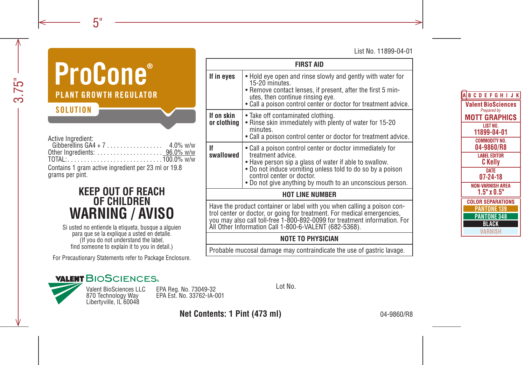List No. 11899-04-01

# **ProCone**® **PLANT GROWTH REGILLATOR SOLUTION**

Active Ingredient:

| Gibberellins $GA4 + 7$ | $4.0\%$ w/w |  |
|------------------------|-------------|--|
|                        |             |  |
|                        |             |  |

Contains 1 gram active ingredient per 23 ml or 19.8 grams per pint.

# **KEEP OUT OF REACH OF CHILDREN WARNING / AVISO**

Si usted no entiende la etiqueta, busque a alguien para que se la explique a usted en detalle. (If you do not understand the label, find someone to explain it to you in detail.)

For Precautionary Statements refer to Package Enclosure.

| <b>FIRST AID</b>                                                                                                                                                                                                                                                                         |                                                                                                                                                                                                                                                                                                |  |  |  |
|------------------------------------------------------------------------------------------------------------------------------------------------------------------------------------------------------------------------------------------------------------------------------------------|------------------------------------------------------------------------------------------------------------------------------------------------------------------------------------------------------------------------------------------------------------------------------------------------|--|--|--|
| If in eyes                                                                                                                                                                                                                                                                               | • Hold eye open and rinse slowly and gently with water for<br>15-20 minutes.<br>• Remove contact lenses, if present, after the first 5 min-<br>utes, then continue rinsing eve.<br>• Call a poison control center or doctor for treatment advice.                                              |  |  |  |
| If on skin<br>or clothing                                                                                                                                                                                                                                                                | • Take off contaminated clothing.<br>• Rinse skin immediately with plenty of water for 15-20<br>minutes.<br>• Call a poison control center or doctor for treatment advice.                                                                                                                     |  |  |  |
| lf<br>swallowed                                                                                                                                                                                                                                                                          | • Call a poison control center or doctor immediately for<br>treatment advice.<br>. Have person sip a glass of water if able to swallow.<br>. Do not induce vomiting unless told to do so by a poison<br>control center or doctor.<br>• Do not give anything by mouth to an unconscious person. |  |  |  |
| <b>HOT LINE NUMBER</b>                                                                                                                                                                                                                                                                   |                                                                                                                                                                                                                                                                                                |  |  |  |
| Have the product container or label with you when calling a poison con-<br>trol center or doctor, or going for treatment. For medical emergencies,<br>you may also call toll-free 1-800-892-0099 for treatment information. For<br>All Other Information Call 1-800-6-VALENT (682-5368). |                                                                                                                                                                                                                                                                                                |  |  |  |
| NOTE TO PHYSICIAN                                                                                                                                                                                                                                                                        |                                                                                                                                                                                                                                                                                                |  |  |  |

Probable mucosal damage may contraindicate the use of gastric lavage.

# **VALENT BIOSCIENCES**

870 Technology Way Libertyville, IL 60048

EPA Reg. No. 73049-32 Lot No. Valent BioSciences LLC EPA Est. No. 33762-IA-001

**Net Contents: 1 Pint (473 ml)** 04-9860/R8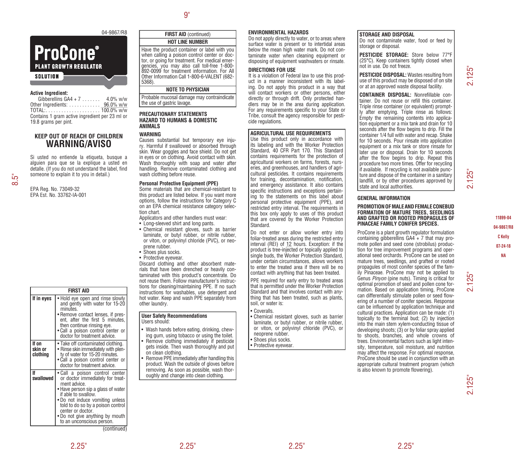# **ProCone® PLANT GROWTH REGULATOR SOLUTION**

#### **Active Ingredient:**

Gibberellins  $GA4 + 7$ ...... 4.0% w/w Other Ingredients:  $\dots\dots\dots\dots\frac{96.0\%$  w/w TOTAL:. . 100.0% w/w Contains 1 gram active ingredient per 23 ml or 19.8 grams per pint.

# **KEEP OUT OF REACH OF CHILDREN WARNING/AVISO**

Si usted no entiende la etiqueta, busque a alguien para que se la explique a usted en detalle. (If you do not understand the label, find someone to explain it to you in detail.)

EPA Reg. No. 73049-32 EPA Est. No. 33762-IA-001

| <b>FIRST AID</b>             |                                                                                                                                                                                                                                                                                                              |  |  |  |
|------------------------------|--------------------------------------------------------------------------------------------------------------------------------------------------------------------------------------------------------------------------------------------------------------------------------------------------------------|--|--|--|
| If in eyes                   | Hold eye open and rinse slowly<br>and gently with water for 15-20<br>minutes.<br>• Remove contact lenses, if pres-<br>ent, after the first 5 minutes,<br>then continue rinsing eye.<br>. Call a poison control center or<br>doctor for treatment advice.                                                     |  |  |  |
| If on<br>skin or<br>clothing | • Take off contaminated clothing.<br>• Rinse skin immediately with plen-<br>ty of water for 15-20 minutes.<br>• Call a poison control center or<br>doctor for treatment advice.                                                                                                                              |  |  |  |
| lf<br>swallowed              | • Call a poison control center<br>or doctor immediately for treat-<br>ment advice.<br>• Have person sip a glass of water<br>if able to swallow.<br>• Do not induce vomiting unless<br>told to do so by a poison control<br>center or doctor.<br>• Do not give anything by mouth<br>to an unconscious person. |  |  |  |

(continued)

# **FIRST AID** (continued) **HOT LINE NUMBER**

Have the product container or label with you when calling a poison control center or doctor, or going for treatment. For medical emergencies, you may also call toll-free 1-800- 892-0099 for treatment information. For All Other Information Call 1-800-6-VALENT (682- 5368).

# **NOTE TO PHYSICIAN**

Probable mucosal damage may contraindicate the use of gastric lavage.

#### **PRECAUTIONARY STATEMENTS HAZARD TO HUMANS & DOMESTIC ANIMALS**

## **WARNING**

Causes substantial but temporary eye injury. Harmful if swallowed or absorbed through skin. Wear goggles and face shield. Do not get in eyes or on clothing. Avoid contact with skin. Wash thoroughly with soap and water after handling. Remove contaminated clothing and wash clothing before reuse.

#### **Personal Protective Equipment (PPE)**

Some materials that are chemical-resistant to this product are listed below. If you want more options, follow the instructions for Category C on an EPA chemical resistance category selection chart.

Applicators and other handlers must wear:

- Long-sleeved shirt and long pants.
- Chemical resistant gloves, such as barrier laminate, or butyl rubber, or nitrile rubber, or viton, or polyvinyl chloride (PVC), or neoprene rubber.
- Shoes plus socks.
- Protective eyewear.

Discard clothing and other absorbent materials that have been drenched or heavily contaminated with this product's concentrate. Do not reuse them. Follow manufacturer's instructions for cleaning/maintaining PPE. If no such instructions for washables, use detergent and hot water. Keep and wash PPE separately from other laundry.

#### **User Safety Recommendations** Users should:

- Wash hands before eating, drinking, chewing gum, using tobacco or using the toilet.
	- Remove clothing immediately if pesticide gets inside. Then wash thoroughly and put on clean clothing.
- Remove PPE immediately after handling this product. Wash the outside of gloves before removing. As soon as possible, wash thoroughly and change into clean clothing.

## **ENVIRONMENTAL HAZARDS**

Do not apply directly to water, or to areas where surface water is present or to intertidal areas below the mean high water mark. Do not contaminate water when cleaning equipment or disposing of equipment washwaters or rinsate.

## **DIRECTIONS FOR USE**

It is a violation of Federal law to use this product in a manner inconsistent with its labeling. Do not apply this product in a way that will contact workers or other persons, either directly or through drift. Only protected handlers may be in the area during application. For any requirements specific to your State or Tribe, consult the agency responsible for pesticide regulations.

#### **AGRICULTURAL USE REQUIREMENTS**

Use this product only in accordance with its labeling and with the Worker Protection Standard, 40 CFR Part 170. This Standard contains requirements for the protection of agricultural workers on farms, forests, nurseries, and greenhouses, and handlers of agricultural pesticides. It contains requirements for training, decontamination, notification, and emergency assistance. It also contains specific instructions and exceptions pertaining to the statements on this label about personal protective equipment (PPE), and restricted entry interval. The requirements in this box only apply to uses of this product that are covered by the Worker Protection Standard.

Do not enter or allow worker entry into foliar-treated areas during the restricted entry interval (REI) of 12 hours. Exception: if the product is tree-injected or topically applied to single buds, the Worker Protection Standard, under certain circumstances, allows workers to enter the treated area if there will be no contact with anything that has been treated.

PPE required for early entry to treated areas that is permitted under the Worker Protection Standard and that involves contact with anything that has been treated, such as plants, soil, or water is:

• Coveralls.

- Chemical resistant gloves, such as barrier laminate, or butyl rubber, or nitrile rubber, or viton, or polyvinyl chloride (PVC), or neoprene rubber.
- Shoes plus socks.
- Protective eyewear.

# **STORAGE AND DISPOSAL**

Do not contaminate water, food or feed by storage or disposal.

**PESTICIDE STORAGE:** Store below 77°F (25°C). Keep containers tightly closed when not in use. Do not freeze.

**PESTICIDE DISPOSAL:** Wastes resulting from use of this product may be disposed of on site or at an approved waste disposal facility.

**CONTAINER DISPOSAL:** Nonrefillable container. Do not reuse or refill this container. Triple rinse container (or equivalent) promptly after emptying. Triple rinse as follows: Empty the remaining contents into application equipment or a mix tank and drain for 10 seconds after the flow begins to drip. Fill the container 1/4 full with water and recap. Shake for 10 seconds. Pour rinsate into application equipment or a mix tank or store rinsate for later use or disposal. Drain for 10 seconds after the flow begins to drip. Repeat this procedure two more times. Offer for recycling if available. If recycling is not available puncture and dispose of the container in a sanitary landfill, or by other procedures approved by state and local authorities.

## **GENERAL INFORMATION**

#### **PROMOTION OF MALE AND FEMALE CONEBUD FORMATION OF MATURE TREES, SEEDLINGS AND GRAFTED OR ROOTED PROPAGULES OF PINACEAE FAMILY CONIFER SPECIES.**

ProCone is a plant growth regulator formulation containing gibberellins GA4 + 7 that may promote pollen and seed cone (strobilus) production for tree improvement programs and operational seed orchards. ProCone can be used on mature trees, seedlings, and grafted or rooted propagules of most conifer species of the family Pinaceae. ProCone may not be applied to Genus *Pinyon* (pine nuts). Timing is critical for optimal promotion of seed and pollen cone formation. Based on application timing, ProCone can differentially stimulate pollen or seed flowering of a number of conifer species. Response can be influenced by application technique and cultural practices. Application can be made: (1) topically to the terminal bud; (2) by injection into the main stem xylem-conducting tissue of developing shoots; (3) or by foliar spray applied to shoots, branches, and whole crowns of trees. Environmental factors such as light intensity, temperature, soil moisture, and nutrition may affect the response. For optimal response, ProCone should be used in conjunction with an appropriate cultural treatment program (which is also known to promote flowering).